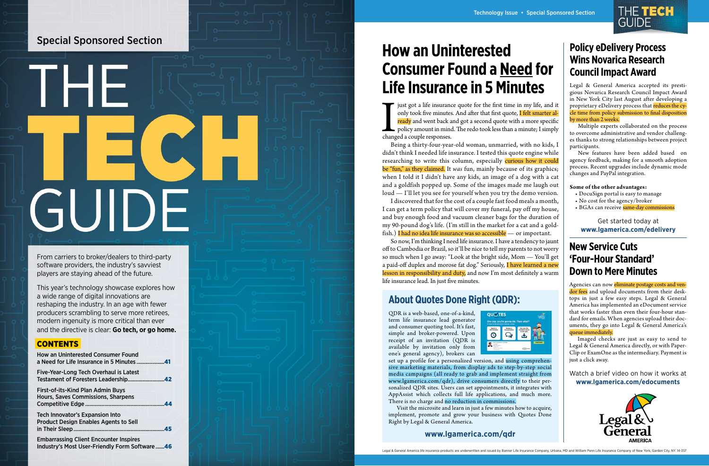just got a life insurance quote for the first time in my life, and it only took five minutes. And after that first quote, **I felt smarter already** and went back and got a second quote with a more specific policy amount in only took five minutes. And after that first quote, <mark>I felt smarter al-</mark> ready and went back and got a second quote with a more specific policy amount in mind. The redo took less than a minute; I simply changed a couple responses.

Being a thirty-four-year-old woman, unmarried, with no kids, I didn't think I needed life insurance. I tested this quote engine while researching to write this column, especially curious how it could be "fun," as they claimed. It *was* fun, mainly because of its graphics; when I told it I didn't have any kids, an image of a dog with a cat and a goldfish popped up. Some of the images made me laugh out loud — I'll let you see for yourself when you try the demo version.

I discovered that for the cost of a couple fast food meals a month, I can get a term policy that will cover my funeral, pay off my house, and buy enough food and vacuum cleaner bags for the duration of my 90-pound dog's life. (I'm still in the market for a cat and a gold fish.) I had no idea life insurance was so accessible — or important.

- DocuSign portal is easy to manage
- No cost for the agency/broker
- BGAs can receive same-day commissions

So now, I'm thinking I need life insurance. I have a tendency to jaunt off to Cambodia or Brazil, so it'll be nice to tell my parents to not worry so much when I go away: "Look at the bright side, Mom — You'll get a paid-off duplex and morose fat dog." Seriously, I have learned a new lesson in responsibility and duty, and now I'm most definitely a warm life insurance lead. In just five minutes.

Agencies can now <mark>eliminate postage costs and ven-</mark> dor fees and upload documents from their desktops in just a few easy steps. Legal & General America has implemented an eDocument service that works faster than even their four-hour stan dard for emails. When agencies upload their doc uments, they go into Legal & General America's queue immediately.

## **Policy eDelivery Process Wins Novarica Research Council Impact Award**

Legal & General America accepted its presti gious Novarica Research Council Impact Award in New York City last August after developing a proprietary eDelivery process that reduces the cycle time from policy submission to final disposition by more than 2 weeks.

THE TECH

set up a profile for a personalized version, and <mark>using comprehen-</mark> sive marketing materials, from display ads to step-by-step social media campaigns (all ready to grab and implement straight from www.lgamerica.com/qdr), drive consumers directly to their personalized QDR sites. Users can set appointments, it integrates with AppAssist which collects full life applications, and much more. There is no charge and no reduction in commissions.

Multiple experts collaborated on the process to overcome administrative and vendor challeng es thanks to strong relationships between project participants.

New features have been added based on agency feedback, making for a smooth adoption process. Recent upgrades include dynamic mode changes and PayPal integration.

#### **Some of the other advantages:**

#### Get started today at **www.lgamerica.com/edelivery**

## **New Service Cuts 'Four-Hour Standard' Down to Mere Minutes**

Imaged checks are just as easy to send to Legal & General America directly, or with Paper - Clip or ExamOne as the intermediary. Payment is just a click away.

Watch a brief video on how it works at **www.lgamerica.com/edocuments**



## **About Quotes Done Right (QDR):**

QDR is a web-based, one-of-a-kind, term life insurance lead generator and consumer quoting tool. It's fast, simple and broker-powered. Upon receipt of an invitation (QDR is available by invitation only from one's general agency), brokers can



Visit the microsite and learn in just a few minutes how to acquire, implement, promote and grow your business with Quotes Done Right by Legal & General America.

## **www.lgamerica.com/qdr**

**How an Uninterested Consumer Found a Need for Life Insurance in 5 Minutes**

From carriers to broker/dealers to third-party software providers, the industry's savviest players are staying ahead of the future.

This year's technology showcase explores how a wide range of digital innovations are reshaping the industry. In an age with fewer producers scrambling to serve more retirees, modern ingenuity is more critical than ever and the directive is clear: **Go tech, or go home.**

## **CONTENTS**

| <b>How an Uninterested Consumer Found</b>                                                      |     |
|------------------------------------------------------------------------------------------------|-----|
| Five-Year-Long Tech Overhaul is Latest                                                         |     |
| First-of-its-Kind Plan Admin Buys<br>Hours, Saves Commissions, Sharpens                        |     |
| <b>Tech Innovator's Expansion Into</b><br><b>Product Design Enables Agents to Sell</b>         | .45 |
| <b>Embarrassing Client Encounter Inspires</b><br>Industry's Most User-Friendly Form Software46 |     |

## Special Sponsored Section

# TEIE GUIDE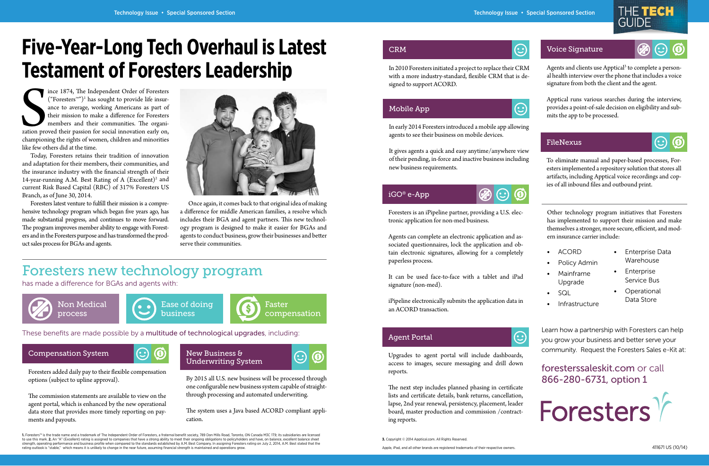$\bigodot$ 

 $\odot$ 

Santion prochampion ince 1874, The Independent Order of Foresters  $("Foresters<sup>two</sup>)<sup>1</sup>$  has sought to provide life insurance to average, working Americans as part of their mission to make a difference for Foresters members and their communities. The organization proved their passion for social innovation early on, championing the rights of women, children and minorities like few others did at the time.

Today, Foresters retains their tradition of innovation and adaptation for their members, their communities, and the insurance industry with the financial strength of their 14-year-running A.M. Best Rating of A (Excellent)<sup>2</sup> and current Risk Based Capital (RBC) of 317% Foresters US Branch, as of June 30, 2014.

Foresters latest venture to fulfill their mission is a comprehensive technology program which began five years ago, has made substantial progress, and continues to move forward. The program improves member ability to engage with Foresters and in the Foresters purpose and has transformed the product sales process for BGAs and agents.



Agents and clients use Apptical<sup>3</sup> to complete a personal health interview over the phone that includes a voice signature from both the client and the agent.

Once again, it comes back to that original idea of making a difference for middle American families, a resolve which includes their BGA and agent partners. This new technology program is designed to make it easier for BGAs and agents to conduct business, grow their businesses and beter serve their communities.

To eliminate manual and paper-based processes, Foresters implemented a repository solution that stores all artifacts, including Apptical voice recordings and copies of all inbound files and outbound print.

# **Five-Year-Long Tech Overhaul is Latest Testament of Foresters Leadership**

## Foresters new technology program

has made a difference for BGAs and agents with:

Learn how a partnership with Foresters can help you grow your business and better serve your community. Request the Foresters Sales e-Kit at:

foresterssaleskit.com or call 866-280-6731, option 1









These benefits are made possible by a multitude of technological upgrades, including:

Foresters is an iPipeline partner, providing a U.S. electronic application for non-med business.

## Compensation System



## Voice Signature

## FileNexus

## CRM

## Mobile App

## Agent Portal



## iGO® e-App



New Business & Underwriting System



Foresters added daily pay to their flexible compensation options (subject to upline approval).

The commission statements are available to view on the agent portal, which is enhanced by the new operational data store that provides more timely reporting on payments and payouts.

Apptical runs various searches during the interview, provides a point-of-sale decision on eligibility and submits the app to be processed.

 $\mathcal{A}_\text{max}$  Insurance  $\mathcal{A}_\text{max}$  and  $\mathcal{A}_\text{max}$  insurance  $\mathcal{A}_\text{max}$  insurance  $\mathcal{A}_\text{max}$ **1.** Foresters™ is the trade name and a trademark of The Independent Order of Foresters, a fraternal benefit society, 789 Don Mills Road, Toronto, ON Canada M3C 1T9; its subsidiaries are licensed to use this mark. **2.** An "A" (Excellent) rating is assigned to companies that have a strong ability to meet their ongoing obligations to policyholders and have, on balance, excellent balance sheet strength, operating performance and business profile when compared to the standards established by A.M. Best Company. In assigning Foresters rating on July 2, 2014, A.M. Best stated that the rating outlook is "stable," which means it is unlikely to change in the near future, assuming financial strength is maintained and operations grow.

In 2010 Foresters initiated a project to replace their CRM with a more industry-standard, flexible CRM that is designed to support ACORD.

In early 2014 Foresters introduced a mobile app allowing agents to see their business on mobile devices.

It gives agents a quick and easy anytime/anywhere view of their pending, in-force and inactive business including new business requirements.

> Other technology program initiatives that Foresters has implemented to support their mission and make themselves a stronger, more secure, efficient, and modern insurance carrier include:

Upgrades to agent portal will include dashboards, access to images, secure messaging and drill down

reports.

The next step includes planned phasing in certificate lists and certificate details, bank returns, cancellation, lapse, 2nd year renewal, persistency, placement, leader board, master production and commission /contract-

ing reports.

## $\mathbf{C}$



Agents can complete an electronic application and associated questionnaires, lock the application and obtain electronic signatures, allowing for a completely paperless process.

It can be used face-to-face with a tablet and iPad signature (non-med).

iPipeline electronically submits the application data in an ACORD transaction.

By 2015 all U.S. new business will be processed through one configurable new business system capable of straightthrough processing and automated underwriting.

The system uses a Java based ACORD compliant application.

- ACORD
- Policy Admin
- Mainframe
- Upgrade
- SQL
- **Infrastructure**
- Enterprise Data Warehouse
- Enterprise Service Bus
- Operational Data Store

**3.** Copyright © 2014 Apptical.com. All Rights Reserved.

Apple, iPad, and all other brands are registered trademarks of their respective owners.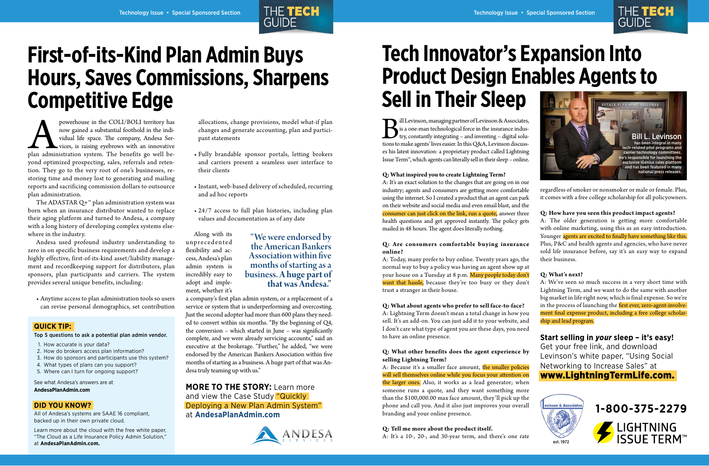ill Levinson, managing partner of Levinson & Associates, is a one-man technological force in the insurance industry, constantly integrating – and inventing – digital solutions to make agents' lives easier. In this Q&A, Levinson discusses his latest innovation: a proprietary product called Lightning Issue Term™, which agents can literally sell in their sleep – online.



#### **Q: What inspired you to create Lightning Term?**

A: It's an exact solution to the changes that are going on in our industry; agents and consumers are getting more comfortable using the internet. So I created a product that an agent can park on their website and social media and even email blast, and the consumer can just click on the link, run a quote, answer three health questions and get approved instantly. The policy gets mailed in 48 hours. The agent does literally nothing.

#### **Q: Are consumers comfortable buying insurance online?**

A: Today, many prefer to buy online. Twenty years ago, the normal way to buy a policy was having an agent show up at your house on a Tuesday at 8 p.m. Many people today don't want that hassle, because they're too busy or they don't trust a stranger in their house.

**Q: What about agents who prefer to sell face-to-face?**  A: Lightning Term doesn't mean a total change in how you sell. It's an add-on. You can just add it to your website, and I don't care what type of agent you are these days, you need to have an online presence.

#### **Q: What other benefits does the agent experience by selling Lightning Term?**

**1-800-375-2279 LIGHTNING<br>ISSUE TERM™** 

A: Because it's a smaller face amount, the smaller policies will sell themselves online while you focus your attention on the larger ones. Also, it works as a lead generator; when someone runs a quote, and they want something more than the \$100,000.00 max face amount, they'll pick up the phone and call you. And it also just improves your overall branding and your online presence.

powerhouse in the COLI/BOLI territory has now gained a substantial foothold in the individual life space. The company, Andesa Services, is raising eyebrows with an innovative plan administration system. The benefits go wel now gained a substantial foothold in the individual life space. The company, Andesa Services, is raising eyebrows with an innovative yond optimized prospecting, sales, referrals and retention. They go to the very root of one's businesses, restoring time and money lost to generating and mailing reports and sacrificing commission dollars to outsource plan administration.

#### **Q: Tell me more about the product itself.**

A: It's a 10-, 20-, and 30-year term, and there's one rate

The ADASTAR Q+ $<sup>m</sup>$  plan administration system was</sup> born when an insurance distributor wanted to replace their aging platform and turned to Andesa, a company with a long history of developing complex systems elsewhere in the industry.

regardless of smoker or nonsmoker or male or female. Plus, it comes with a free college scholarship for all policyowners.

**Q: How have you seen this product impact agents?**  A: The older generation is getting more comfortable with online marketing, using this as an easy introduction. Younger agents are excited to finally have something like this. Plus, P&C and health agents and agencies, who have never sold life insurance before, say it's an easy way to expand their business.

#### **Q: What's next?**

A: We've seen so much success in a very short time with Lightning Term, and we want to do the same with another big market in life right now, which is final expense. So we're in the process of launching the first ever, zero-agent-involvement final expense product, including a free college scholarship and lead program.

**Start selling in** *your* **sleep – it's easy!** Get your free link, and download Levinson's white paper, "Using Social Networking to Increase Sales" at www.LightningTermLife.com.

# **Tech Innovator's Expansion Into Product Design Enables Agents to Sell in Their Sleep**



THE TECH





Andesa used profound industry understanding to zero in on specific business requirements and develop a highly effective, first-of-its-kind asset/liability management and recordkeeping support for distributors, plan sponsors, plan participants and carriers. The system provides several unique benefits, including:

• Anytime access to plan administration tools so users can revise personal demographics, set contribution

allocations, change provisions, model what-if plan changes and generate accounting, plan and participant statements

- Fully brandable sponsor portals, letting brokers and carriers present a seamless user interface to their clients
- Instant, web-based delivery of scheduled, recurring and ad hoc reports
- 24/7 access to full plan histories, including plan values and documentation as of any date

a company's first plan admin system, or a replacement of a service or system that is underperforming and overcosting. Just the second adopter had more than 600 plans they needed to convert within six months. "By the beginning of Q4, the conversion – which started in June – was significantly complete, and we were already servicing accounts," said an executive at the brokerage. "Further," he added, "we were endorsed by the American Bankers Association within five months of starting as a business. A huge part of that was Andesa truly teaming up with us."

Along with its unprecedented flexibility and access, Andesa's plan admin system is incredibly easy to adopt and implement, whether it's "We were endorsed by

**MORE TO THE STORY:** Learn more and view the Case Study "Quickly Deploying a New Plan Admin System" at **AndesaPlanAdmin.com**



 $\mathbf{A}$  Insurance  $\mathbf{A}$  is a November 2014  $\mathbf{A}$  insurance Net Magazine 45  $\mathbf{A}$  insurance  $\mathbf{A}$ 

# **First-of-its-Kind Plan Admin Buys Hours, Saves Commissions, Sharpens Competitive Edge**

## the American Bankers Association within five months of starting as a business. **A huge part of that was Andesa."**

#### **QUICK TIP:**

Top 5 questions to ask a potential plan admin vendor.

- 1. How accurate is your data?
- 2. How do brokers access plan information?
- 3. How do sponsors and participants use this system?
- 4. What types of plans can you support?
- 5. Where can I turn for ongoing support?

See what Andesa's answers are at

**AndesaPlanAdmin.com**

#### **DID YOU KNOW?**

All of Andesa's systems are SAAE 16 compliant, backed up in their own private cloud.

Learn more about the cloud with the free white paper, "The Cloud as a Life Insurance Policy Admin Solution," at **AndesaPlanAdmin.com.**